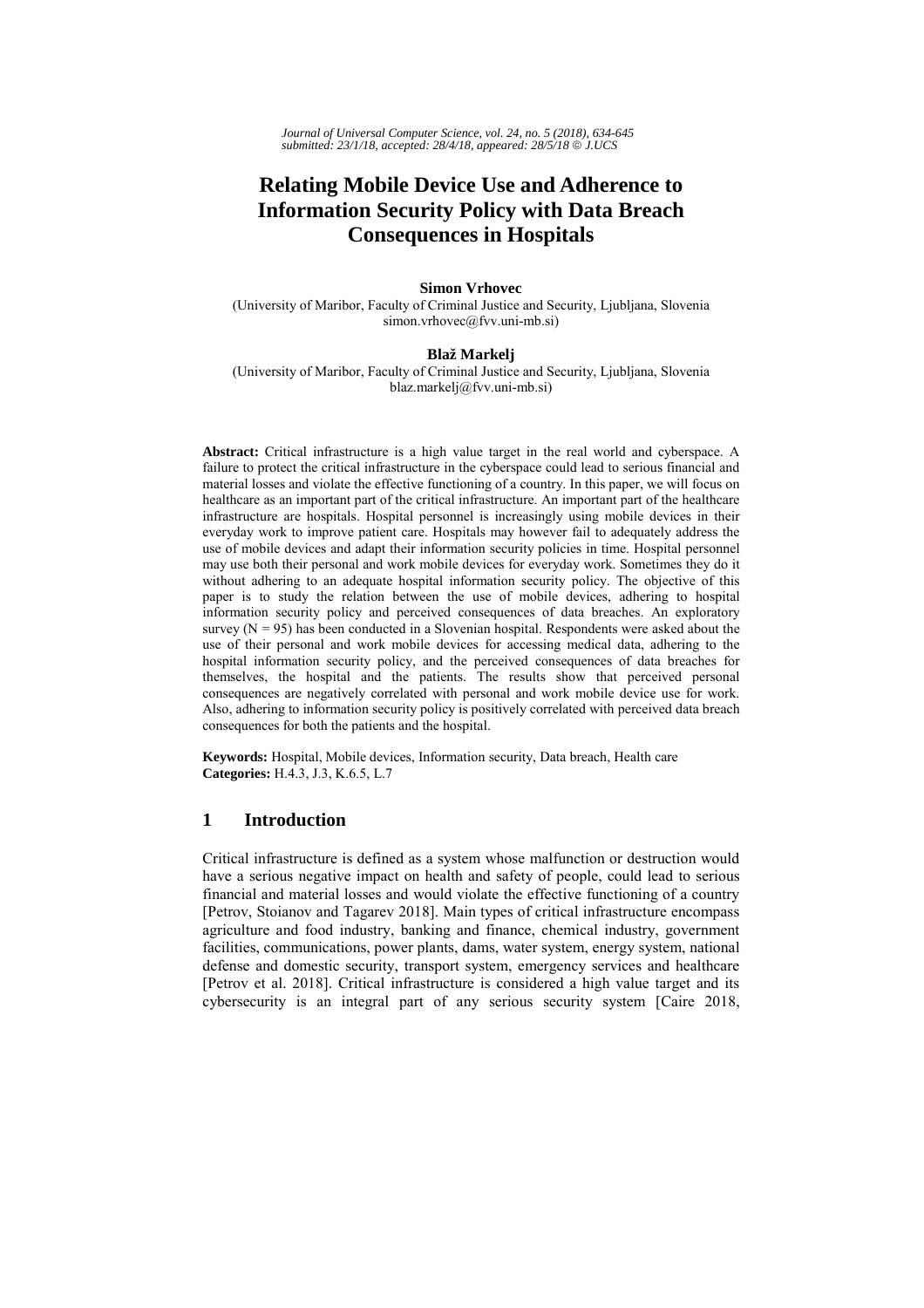# **Relating Mobile Device Use and Adherence to Information Security Policy with Data Breach Consequences in Hospitals**

## **Simon Vrhovec**

(University of Maribor, Faculty of Criminal Justice and Security, Ljubljana, Slovenia simon.vrhovec@fvv.uni-mb.si)

### **Blaž Markelj**

(University of Maribor, Faculty of Criminal Justice and Security, Ljubljana, Slovenia blaz.markelj@fvv.uni-mb.si)

**Abstract:** Critical infrastructure is a high value target in the real world and cyberspace. A failure to protect the critical infrastructure in the cyberspace could lead to serious financial and material losses and violate the effective functioning of a country. In this paper, we will focus on healthcare as an important part of the critical infrastructure. An important part of the healthcare infrastructure are hospitals. Hospital personnel is increasingly using mobile devices in their everyday work to improve patient care. Hospitals may however fail to adequately address the use of mobile devices and adapt their information security policies in time. Hospital personnel may use both their personal and work mobile devices for everyday work. Sometimes they do it without adhering to an adequate hospital information security policy. The objective of this paper is to study the relation between the use of mobile devices, adhering to hospital information security policy and perceived consequences of data breaches. An exploratory survey ( $N = 95$ ) has been conducted in a Slovenian hospital. Respondents were asked about the use of their personal and work mobile devices for accessing medical data, adhering to the hospital information security policy, and the perceived consequences of data breaches for themselves, the hospital and the patients. The results show that perceived personal consequences are negatively correlated with personal and work mobile device use for work. Also, adhering to information security policy is positively correlated with perceived data breach consequences for both the patients and the hospital.

**Keywords:** Hospital, Mobile devices, Information security, Data breach, Health care **Categories:** H.4.3, J.3, K.6.5, L.7

# **1 Introduction**

Critical infrastructure is defined as a system whose malfunction or destruction would have a serious negative impact on health and safety of people, could lead to serious financial and material losses and would violate the effective functioning of a country [Petrov, Stoianov and Tagarev 2018]. Main types of critical infrastructure encompass agriculture and food industry, banking and finance, chemical industry, government facilities, communications, power plants, dams, water system, energy system, national defense and domestic security, transport system, emergency services and healthcare [Petrov et al. 2018]. Critical infrastructure is considered a high value target and its cybersecurity is an integral part of any serious security system [Caire 2018,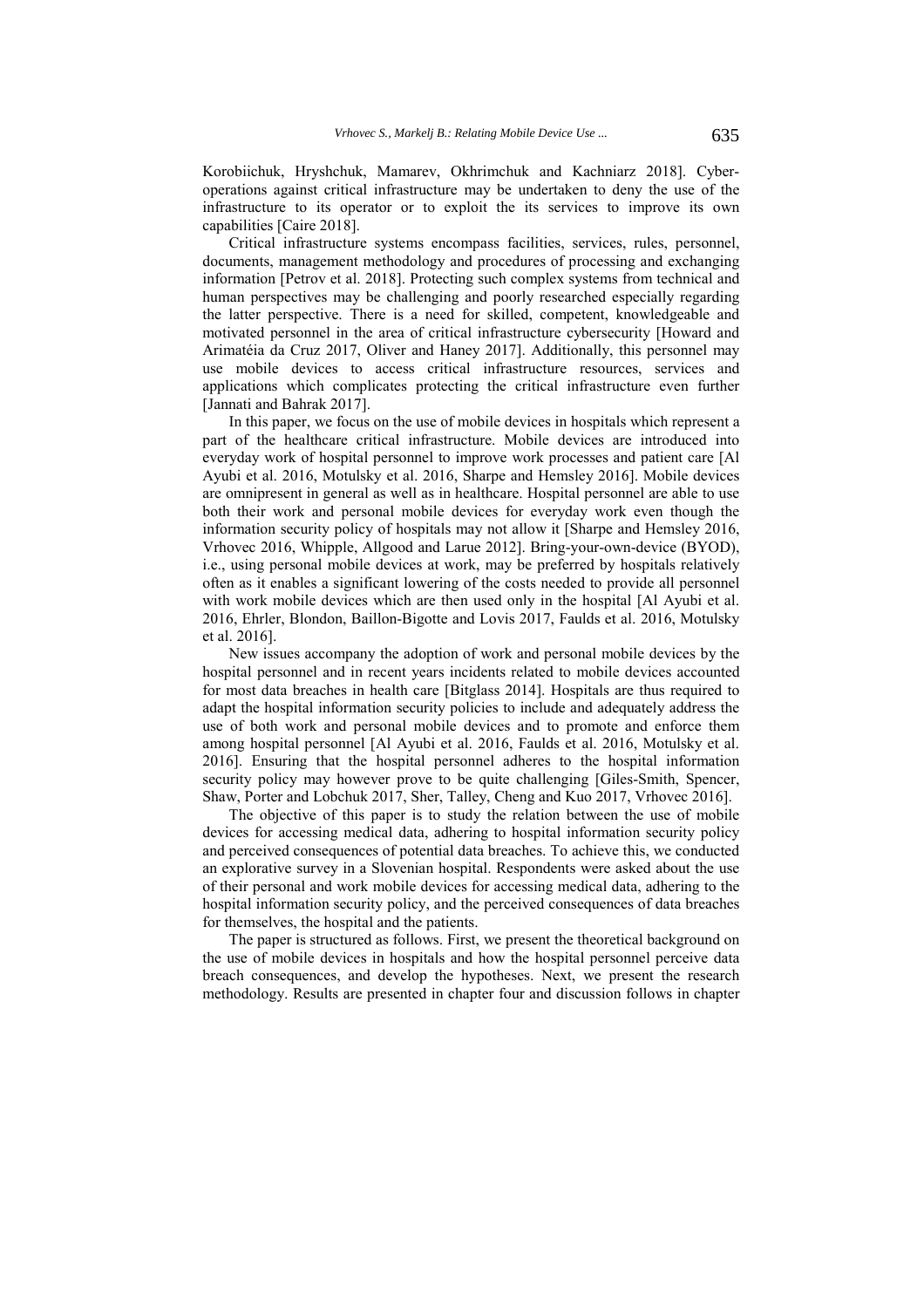Korobiichuk, Hryshchuk, Mamarev, Okhrimchuk and Kachniarz 2018]. Cyberoperations against critical infrastructure may be undertaken to deny the use of the infrastructure to its operator or to exploit the its services to improve its own capabilities [Caire 2018].

Critical infrastructure systems encompass facilities, services, rules, personnel, documents, management methodology and procedures of processing and exchanging information [Petrov et al. 2018]. Protecting such complex systems from technical and human perspectives may be challenging and poorly researched especially regarding the latter perspective. There is a need for skilled, competent, knowledgeable and motivated personnel in the area of critical infrastructure cybersecurity [Howard and Arimatéia da Cruz 2017, Oliver and Haney 2017]. Additionally, this personnel may use mobile devices to access critical infrastructure resources, services and applications which complicates protecting the critical infrastructure even further [Jannati and Bahrak 2017].

In this paper, we focus on the use of mobile devices in hospitals which represent a part of the healthcare critical infrastructure. Mobile devices are introduced into everyday work of hospital personnel to improve work processes and patient care [Al Ayubi et al. 2016, Motulsky et al. 2016, Sharpe and Hemsley 2016]. Mobile devices are omnipresent in general as well as in healthcare. Hospital personnel are able to use both their work and personal mobile devices for everyday work even though the information security policy of hospitals may not allow it [Sharpe and Hemsley 2016, Vrhovec 2016, Whipple, Allgood and Larue 2012]. Bring-your-own-device (BYOD), i.e., using personal mobile devices at work, may be preferred by hospitals relatively often as it enables a significant lowering of the costs needed to provide all personnel with work mobile devices which are then used only in the hospital [Al Ayubi et al. 2016, Ehrler, Blondon, Baillon-Bigotte and Lovis 2017, Faulds et al. 2016, Motulsky et al. 2016].

New issues accompany the adoption of work and personal mobile devices by the hospital personnel and in recent years incidents related to mobile devices accounted for most data breaches in health care [Bitglass 2014]. Hospitals are thus required to adapt the hospital information security policies to include and adequately address the use of both work and personal mobile devices and to promote and enforce them among hospital personnel [Al Ayubi et al. 2016, Faulds et al. 2016, Motulsky et al. 2016]. Ensuring that the hospital personnel adheres to the hospital information security policy may however prove to be quite challenging [Giles-Smith, Spencer, Shaw, Porter and Lobchuk 2017, Sher, Talley, Cheng and Kuo 2017, Vrhovec 2016].

The objective of this paper is to study the relation between the use of mobile devices for accessing medical data, adhering to hospital information security policy and perceived consequences of potential data breaches. To achieve this, we conducted an explorative survey in a Slovenian hospital. Respondents were asked about the use of their personal and work mobile devices for accessing medical data, adhering to the hospital information security policy, and the perceived consequences of data breaches for themselves, the hospital and the patients.

The paper is structured as follows. First, we present the theoretical background on the use of mobile devices in hospitals and how the hospital personnel perceive data breach consequences, and develop the hypotheses. Next, we present the research methodology. Results are presented in chapter four and discussion follows in chapter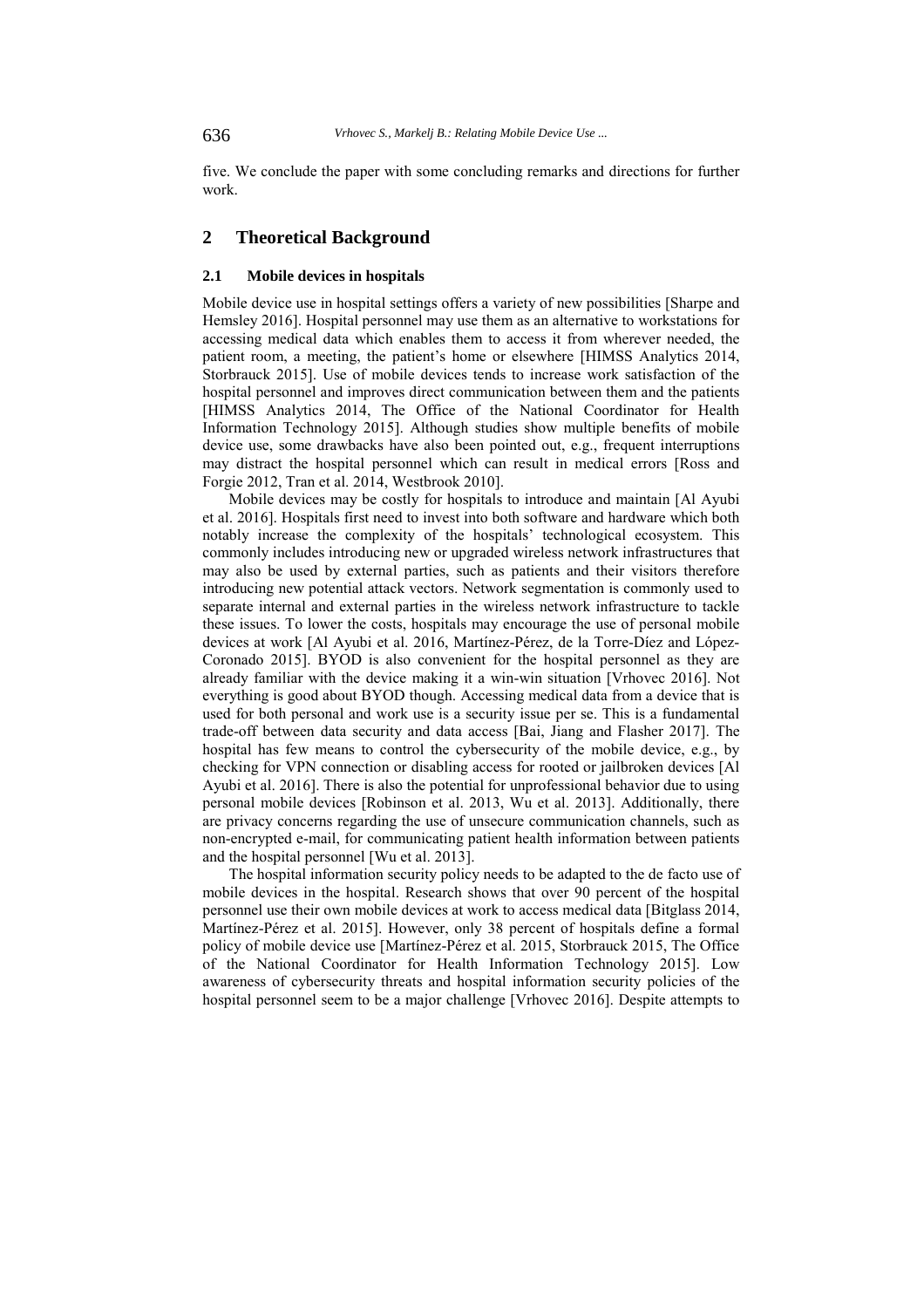five. We conclude the paper with some concluding remarks and directions for further work.

# **2 Theoretical Background**

## **2.1 Mobile devices in hospitals**

Mobile device use in hospital settings offers a variety of new possibilities [Sharpe and Hemsley 2016]. Hospital personnel may use them as an alternative to workstations for accessing medical data which enables them to access it from wherever needed, the patient room, a meeting, the patient's home or elsewhere [HIMSS Analytics 2014, Storbrauck 2015]. Use of mobile devices tends to increase work satisfaction of the hospital personnel and improves direct communication between them and the patients [HIMSS Analytics 2014, The Office of the National Coordinator for Health Information Technology 2015]. Although studies show multiple benefits of mobile device use, some drawbacks have also been pointed out, e.g., frequent interruptions may distract the hospital personnel which can result in medical errors [Ross and Forgie 2012, Tran et al. 2014, Westbrook 2010].

Mobile devices may be costly for hospitals to introduce and maintain [Al Ayubi et al. 2016]. Hospitals first need to invest into both software and hardware which both notably increase the complexity of the hospitals' technological ecosystem. This commonly includes introducing new or upgraded wireless network infrastructures that may also be used by external parties, such as patients and their visitors therefore introducing new potential attack vectors. Network segmentation is commonly used to separate internal and external parties in the wireless network infrastructure to tackle these issues. To lower the costs, hospitals may encourage the use of personal mobile devices at work [Al Ayubi et al. 2016, Martínez-Pérez, de la Torre-Díez and López-Coronado 2015]. BYOD is also convenient for the hospital personnel as they are already familiar with the device making it a win-win situation [Vrhovec 2016]. Not everything is good about BYOD though. Accessing medical data from a device that is used for both personal and work use is a security issue per se. This is a fundamental trade-off between data security and data access [Bai, Jiang and Flasher 2017]. The hospital has few means to control the cybersecurity of the mobile device, e.g., by checking for VPN connection or disabling access for rooted or jailbroken devices [Al Ayubi et al. 2016]. There is also the potential for unprofessional behavior due to using personal mobile devices [Robinson et al. 2013, Wu et al. 2013]. Additionally, there are privacy concerns regarding the use of unsecure communication channels, such as non-encrypted e-mail, for communicating patient health information between patients and the hospital personnel [Wu et al. 2013].

The hospital information security policy needs to be adapted to the de facto use of mobile devices in the hospital. Research shows that over 90 percent of the hospital personnel use their own mobile devices at work to access medical data [Bitglass 2014, Martínez-Pérez et al. 2015]. However, only 38 percent of hospitals define a formal policy of mobile device use [Martínez-Pérez et al. 2015, Storbrauck 2015, The Office of the National Coordinator for Health Information Technology 2015]. Low awareness of cybersecurity threats and hospital information security policies of the hospital personnel seem to be a major challenge [Vrhovec 2016]. Despite attempts to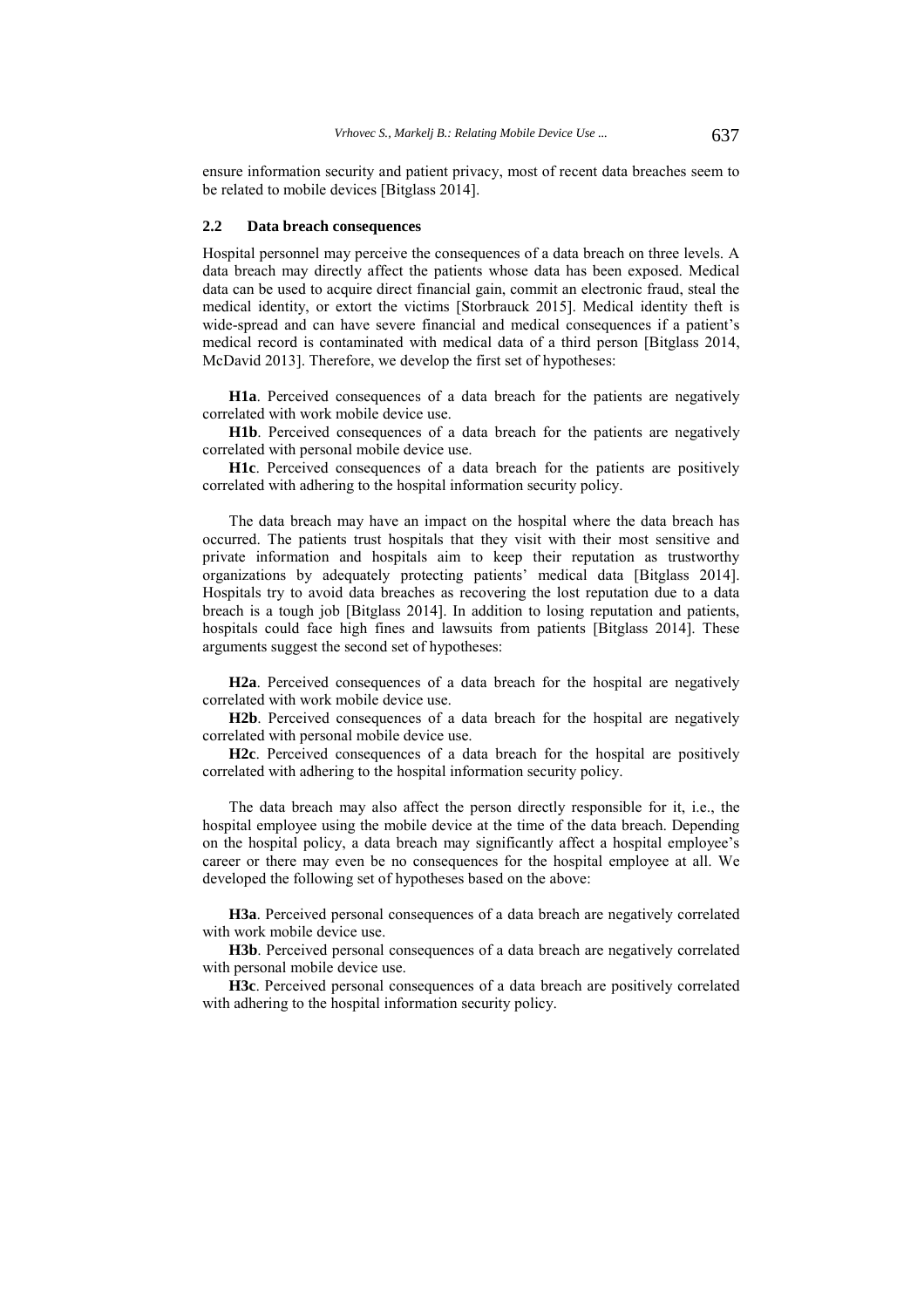ensure information security and patient privacy, most of recent data breaches seem to be related to mobile devices [Bitglass 2014].

#### **2.2 Data breach consequences**

Hospital personnel may perceive the consequences of a data breach on three levels. A data breach may directly affect the patients whose data has been exposed. Medical data can be used to acquire direct financial gain, commit an electronic fraud, steal the medical identity, or extort the victims [Storbrauck 2015]. Medical identity theft is wide-spread and can have severe financial and medical consequences if a patient's medical record is contaminated with medical data of a third person [Bitglass 2014, McDavid 2013]. Therefore, we develop the first set of hypotheses:

**H1a**. Perceived consequences of a data breach for the patients are negatively correlated with work mobile device use.

**H1b**. Perceived consequences of a data breach for the patients are negatively correlated with personal mobile device use.

**H1c**. Perceived consequences of a data breach for the patients are positively correlated with adhering to the hospital information security policy.

The data breach may have an impact on the hospital where the data breach has occurred. The patients trust hospitals that they visit with their most sensitive and private information and hospitals aim to keep their reputation as trustworthy organizations by adequately protecting patients' medical data [Bitglass 2014]. Hospitals try to avoid data breaches as recovering the lost reputation due to a data breach is a tough job [Bitglass 2014]. In addition to losing reputation and patients, hospitals could face high fines and lawsuits from patients [Bitglass 2014]. These arguments suggest the second set of hypotheses:

**H2a**. Perceived consequences of a data breach for the hospital are negatively correlated with work mobile device use.

**H2b**. Perceived consequences of a data breach for the hospital are negatively correlated with personal mobile device use.

**H2c**. Perceived consequences of a data breach for the hospital are positively correlated with adhering to the hospital information security policy.

The data breach may also affect the person directly responsible for it, i.e., the hospital employee using the mobile device at the time of the data breach. Depending on the hospital policy, a data breach may significantly affect a hospital employee's career or there may even be no consequences for the hospital employee at all. We developed the following set of hypotheses based on the above:

**H3a**. Perceived personal consequences of a data breach are negatively correlated with work mobile device use.

**H3b**. Perceived personal consequences of a data breach are negatively correlated with personal mobile device use.

**H3c**. Perceived personal consequences of a data breach are positively correlated with adhering to the hospital information security policy.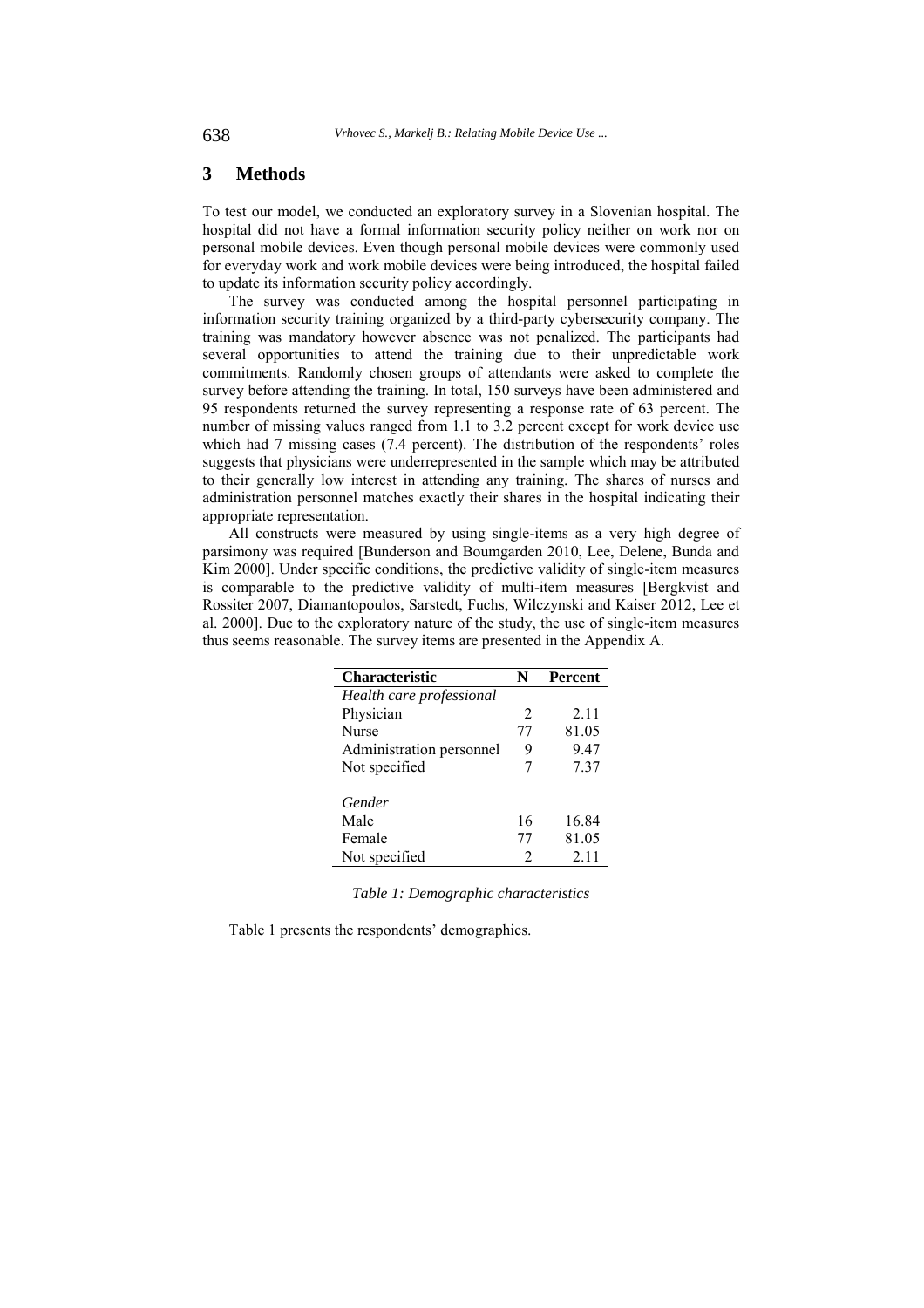## **3 Methods**

To test our model, we conducted an exploratory survey in a Slovenian hospital. The hospital did not have a formal information security policy neither on work nor on personal mobile devices. Even though personal mobile devices were commonly used for everyday work and work mobile devices were being introduced, the hospital failed to update its information security policy accordingly.

The survey was conducted among the hospital personnel participating in information security training organized by a third-party cybersecurity company. The training was mandatory however absence was not penalized. The participants had several opportunities to attend the training due to their unpredictable work commitments. Randomly chosen groups of attendants were asked to complete the survey before attending the training. In total, 150 surveys have been administered and 95 respondents returned the survey representing a response rate of 63 percent. The number of missing values ranged from 1.1 to 3.2 percent except for work device use which had 7 missing cases (7.4 percent). The distribution of the respondents' roles suggests that physicians were underrepresented in the sample which may be attributed to their generally low interest in attending any training. The shares of nurses and administration personnel matches exactly their shares in the hospital indicating their appropriate representation.

All constructs were measured by using single-items as a very high degree of parsimony was required [Bunderson and Boumgarden 2010, Lee, Delene, Bunda and Kim 2000]. Under specific conditions, the predictive validity of single-item measures is comparable to the predictive validity of multi-item measures [Bergkvist and Rossiter 2007, Diamantopoulos, Sarstedt, Fuchs, Wilczynski and Kaiser 2012, Lee et al. 2000]. Due to the exploratory nature of the study, the use of single-item measures thus seems reasonable. The survey items are presented in the Appendix A.

| <b>Characteristic</b>    | N  | <b>Percent</b> |
|--------------------------|----|----------------|
| Health care professional |    |                |
| Physician                | 2  | 2.11           |
| <b>Nurse</b>             | 77 | 81.05          |
| Administration personnel | 9  | 9.47           |
| Not specified            | 7  | 7.37           |
| Gender                   |    |                |
| Male                     | 16 | 16.84          |
| Female                   | 77 | 81.05          |
| Not specified            | 2  | 2.11           |

*Table 1: Demographic characteristics* 

Table 1 presents the respondents' demographics.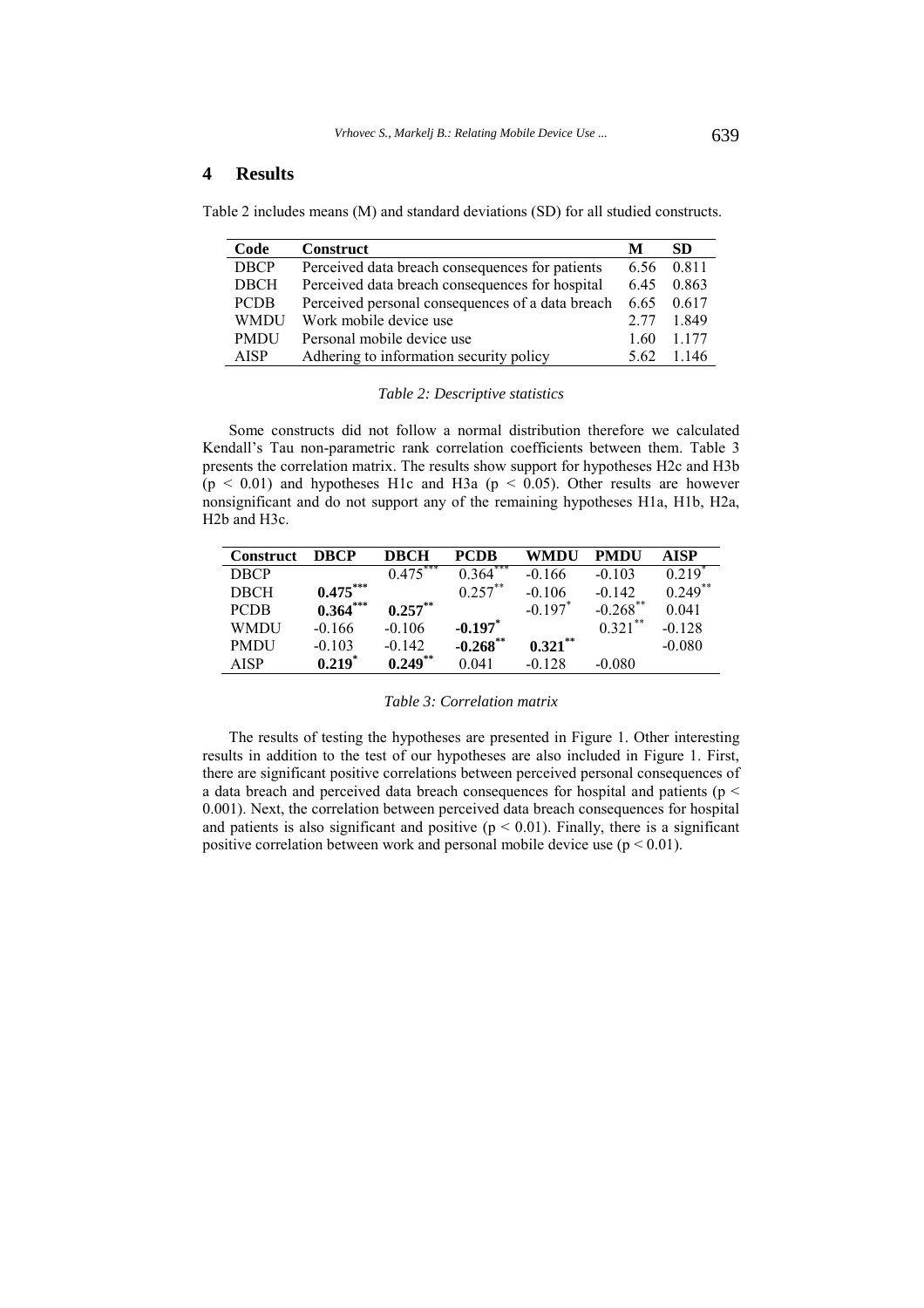## **4 Results**

Table 2 includes means (M) and standard deviations (SD) for all studied constructs.

| Code        | <b>Construct</b>                                 | М    | SD.     |
|-------------|--------------------------------------------------|------|---------|
| <b>DBCP</b> | Perceived data breach consequences for patients  | 6.56 | 0.811   |
| <b>DBCH</b> | Perceived data breach consequences for hospital  | 6.45 | 0.863   |
| <b>PCDB</b> | Perceived personal consequences of a data breach | 6.65 | 0.617   |
| <b>WMDU</b> | Work mobile device use                           | 2.77 | 1.849   |
| <b>PMDU</b> | Personal mobile device use                       | 1.60 | 1 1 7 7 |
| <b>AISP</b> | Adhering to information security policy          | 5.62 | 1.146   |

#### *Table 2: Descriptive statistics*

Some constructs did not follow a normal distribution therefore we calculated Kendall's Tau non-parametric rank correlation coefficients between them. Table 3 presents the correlation matrix. The results show support for hypotheses H2c and H3b  $(p < 0.01)$  and hypotheses H1c and H3a ( $p < 0.05$ ). Other results are however nonsignificant and do not support any of the remaining hypotheses H1a, H1b, H2a, H2b and H3c.

| <b>Construct</b> | <b>DBCP</b> | <b>DBCH</b> | <b>PCDB</b>  | WMDU                  | <b>PMDU</b> | <b>AISP</b> |
|------------------|-------------|-------------|--------------|-----------------------|-------------|-------------|
| <b>DBCP</b>      |             | $0.475***$  | ***<br>0.364 | $-0.166$              | $-0.103$    | 0.219       |
| <b>DBCH</b>      | $0.475***$  |             | $0.257***$   | $-0.106$              | $-0.142$    | $0.249$ **  |
| <b>PCDB</b>      | $0.364***$  | $0.257***$  |              | $-0.197$ <sup>*</sup> | $-0.268$ ** | 0.041       |
| WMDU             | $-0.166$    | $-0.106$    | $-0.197$     |                       | $0.321$ **  | $-0.128$    |
| <b>PMDU</b>      | $-0.103$    | $-0.142$    | $-0.268$ **  | $0.321***$            |             | $-0.080$    |
| <b>AISP</b>      | 0.219       | $0.249***$  | 0.041        | $-0.128$              | $-0.080$    |             |

#### *Table 3: Correlation matrix*

The results of testing the hypotheses are presented in Figure 1. Other interesting results in addition to the test of our hypotheses are also included in Figure 1. First, there are significant positive correlations between perceived personal consequences of a data breach and perceived data breach consequences for hospital and patients (p < 0.001). Next, the correlation between perceived data breach consequences for hospital and patients is also significant and positive  $(p < 0.01)$ . Finally, there is a significant positive correlation between work and personal mobile device use  $(p < 0.01)$ .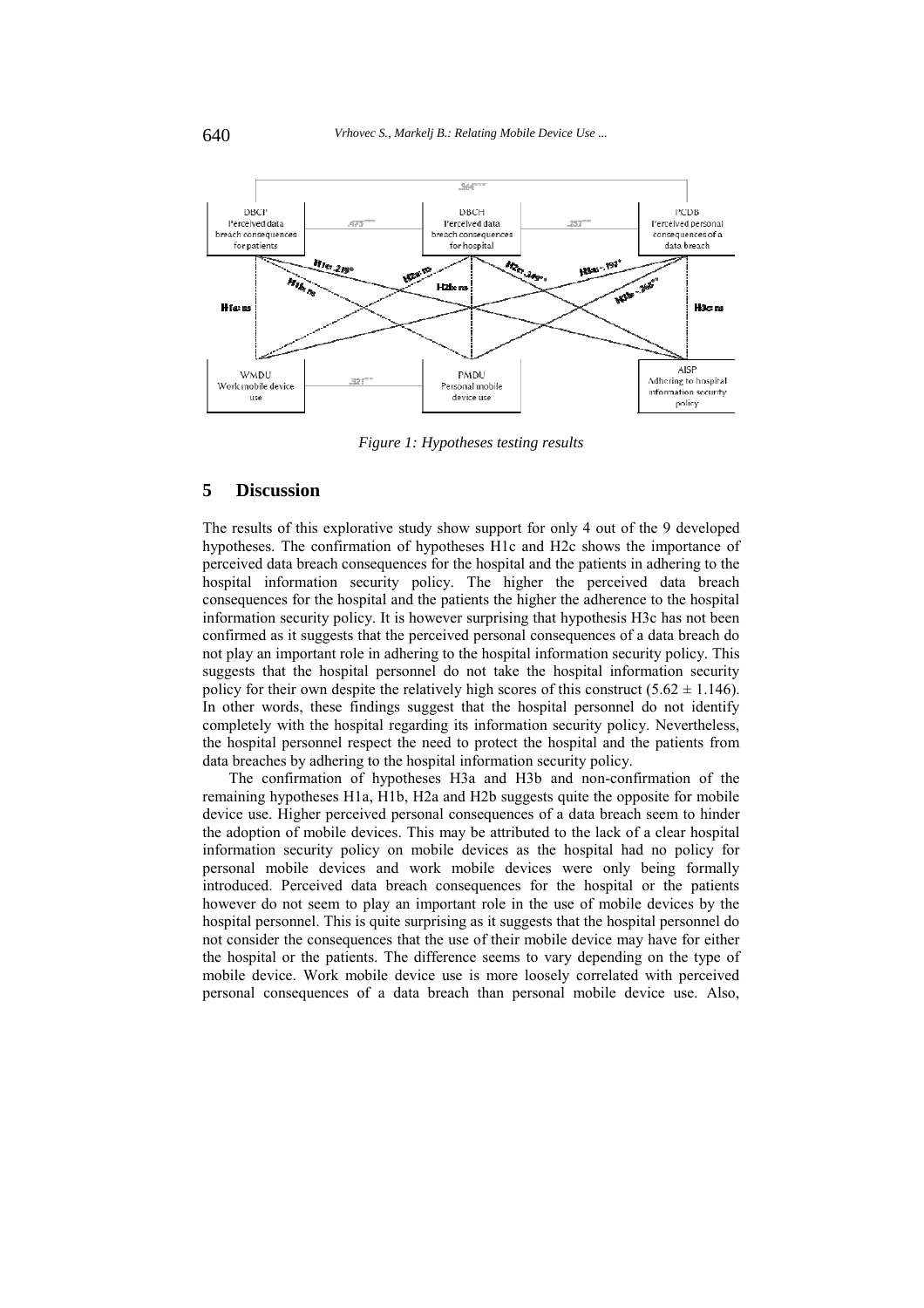

*Figure 1: Hypotheses testing results* 

## **5 Discussion**

The results of this explorative study show support for only 4 out of the 9 developed hypotheses. The confirmation of hypotheses H1c and H2c shows the importance of perceived data breach consequences for the hospital and the patients in adhering to the hospital information security policy. The higher the perceived data breach consequences for the hospital and the patients the higher the adherence to the hospital information security policy. It is however surprising that hypothesis H3c has not been confirmed as it suggests that the perceived personal consequences of a data breach do not play an important role in adhering to the hospital information security policy. This suggests that the hospital personnel do not take the hospital information security policy for their own despite the relatively high scores of this construct  $(5.62 \pm 1.146)$ . In other words, these findings suggest that the hospital personnel do not identify completely with the hospital regarding its information security policy. Nevertheless, the hospital personnel respect the need to protect the hospital and the patients from data breaches by adhering to the hospital information security policy.

The confirmation of hypotheses H3a and H3b and non-confirmation of the remaining hypotheses H1a, H1b, H2a and H2b suggests quite the opposite for mobile device use. Higher perceived personal consequences of a data breach seem to hinder the adoption of mobile devices. This may be attributed to the lack of a clear hospital information security policy on mobile devices as the hospital had no policy for personal mobile devices and work mobile devices were only being formally introduced. Perceived data breach consequences for the hospital or the patients however do not seem to play an important role in the use of mobile devices by the hospital personnel. This is quite surprising as it suggests that the hospital personnel do not consider the consequences that the use of their mobile device may have for either the hospital or the patients. The difference seems to vary depending on the type of mobile device. Work mobile device use is more loosely correlated with perceived personal consequences of a data breach than personal mobile device use. Also,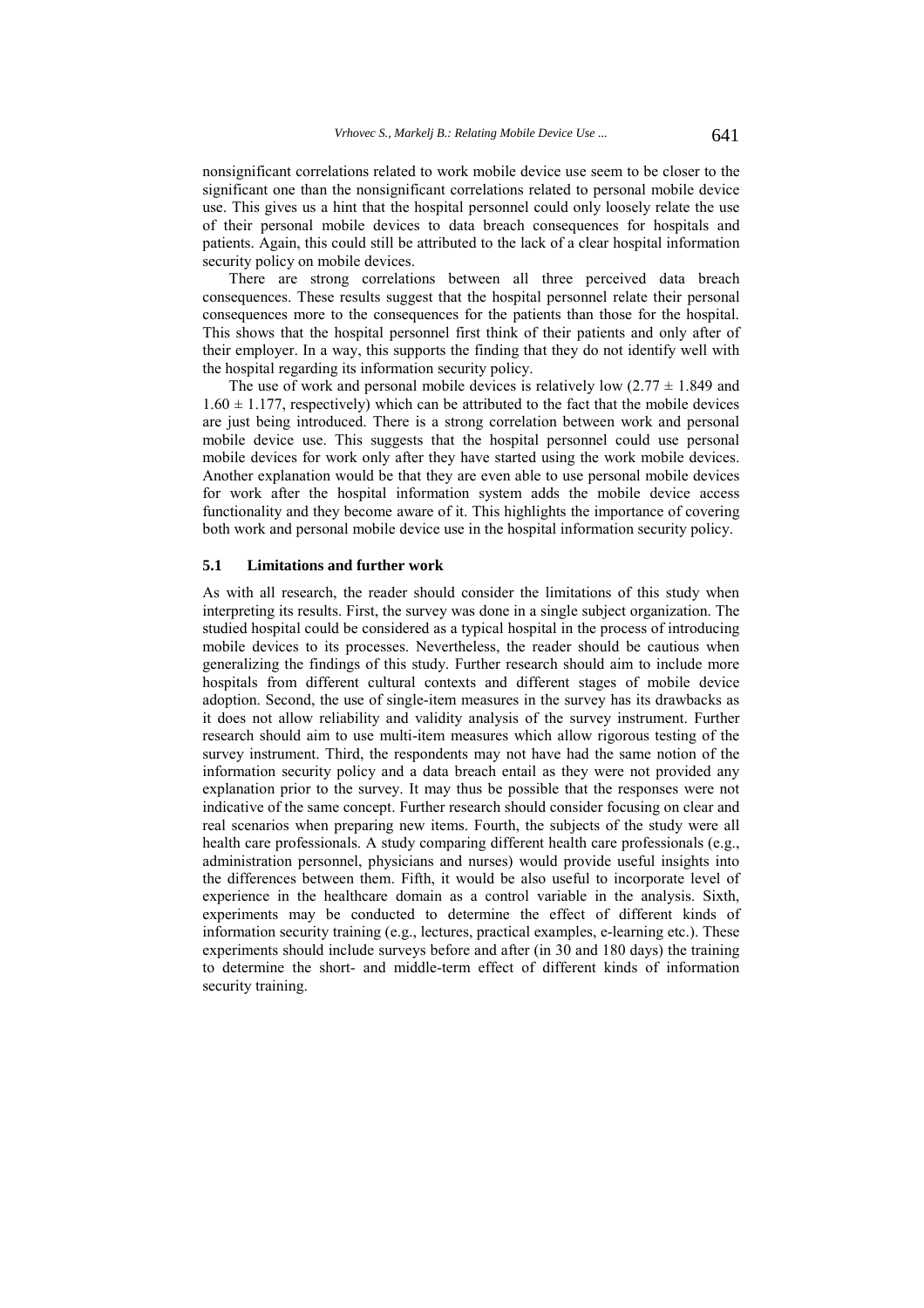nonsignificant correlations related to work mobile device use seem to be closer to the significant one than the nonsignificant correlations related to personal mobile device use. This gives us a hint that the hospital personnel could only loosely relate the use of their personal mobile devices to data breach consequences for hospitals and patients. Again, this could still be attributed to the lack of a clear hospital information security policy on mobile devices.

There are strong correlations between all three perceived data breach consequences. These results suggest that the hospital personnel relate their personal consequences more to the consequences for the patients than those for the hospital. This shows that the hospital personnel first think of their patients and only after of their employer. In a way, this supports the finding that they do not identify well with the hospital regarding its information security policy.

The use of work and personal mobile devices is relatively low  $(2.77 \pm 1.849)$  and  $1.60 \pm 1.177$ , respectively) which can be attributed to the fact that the mobile devices are just being introduced. There is a strong correlation between work and personal mobile device use. This suggests that the hospital personnel could use personal mobile devices for work only after they have started using the work mobile devices. Another explanation would be that they are even able to use personal mobile devices for work after the hospital information system adds the mobile device access functionality and they become aware of it. This highlights the importance of covering both work and personal mobile device use in the hospital information security policy.

#### **5.1 Limitations and further work**

As with all research, the reader should consider the limitations of this study when interpreting its results. First, the survey was done in a single subject organization. The studied hospital could be considered as a typical hospital in the process of introducing mobile devices to its processes. Nevertheless, the reader should be cautious when generalizing the findings of this study. Further research should aim to include more hospitals from different cultural contexts and different stages of mobile device adoption. Second, the use of single-item measures in the survey has its drawbacks as it does not allow reliability and validity analysis of the survey instrument. Further research should aim to use multi-item measures which allow rigorous testing of the survey instrument. Third, the respondents may not have had the same notion of the information security policy and a data breach entail as they were not provided any explanation prior to the survey. It may thus be possible that the responses were not indicative of the same concept. Further research should consider focusing on clear and real scenarios when preparing new items. Fourth, the subjects of the study were all health care professionals. A study comparing different health care professionals (e.g., administration personnel, physicians and nurses) would provide useful insights into the differences between them. Fifth, it would be also useful to incorporate level of experience in the healthcare domain as a control variable in the analysis. Sixth, experiments may be conducted to determine the effect of different kinds of information security training (e.g., lectures, practical examples, e-learning etc.). These experiments should include surveys before and after (in 30 and 180 days) the training to determine the short- and middle-term effect of different kinds of information security training.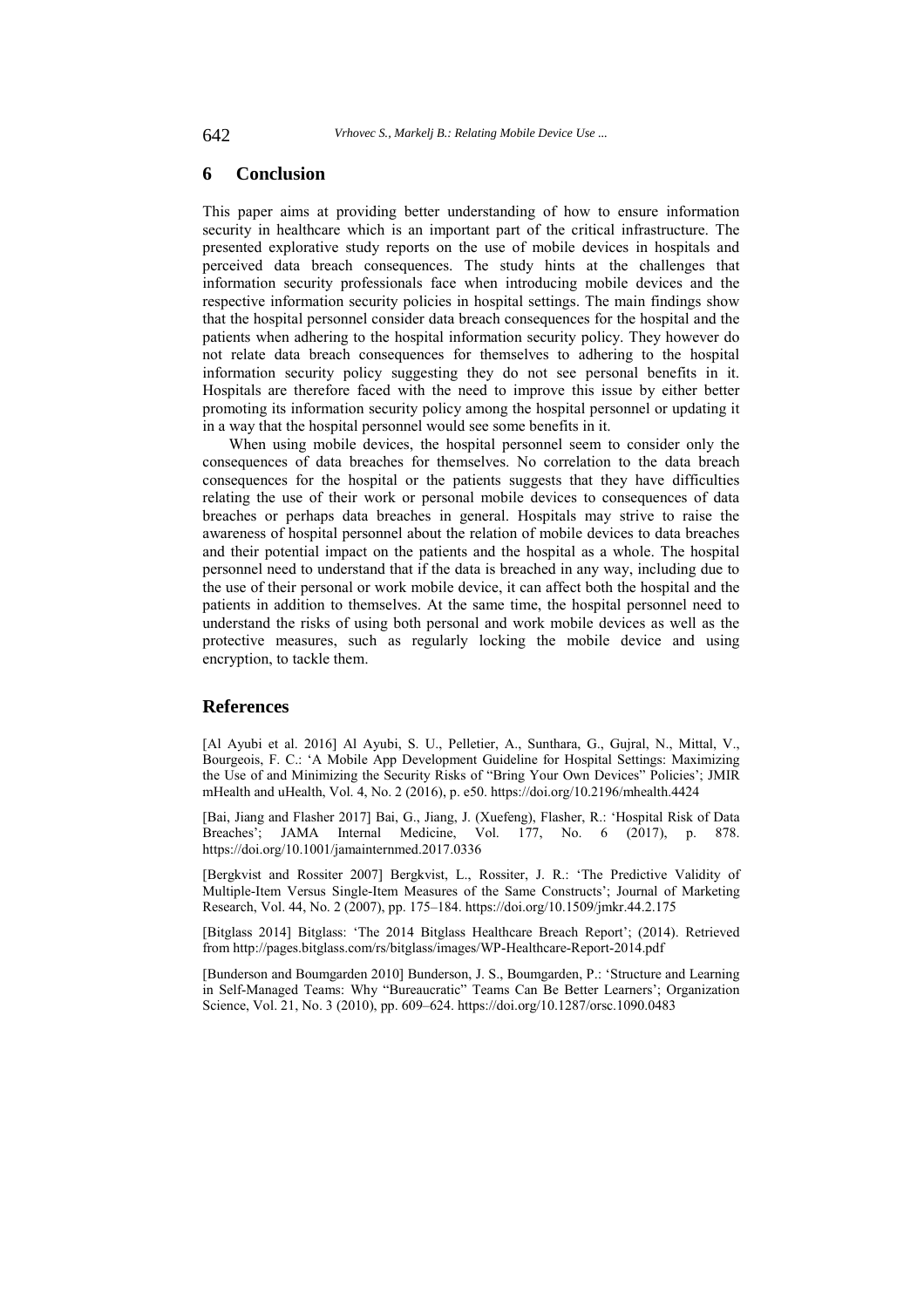## **6 Conclusion**

This paper aims at providing better understanding of how to ensure information security in healthcare which is an important part of the critical infrastructure. The presented explorative study reports on the use of mobile devices in hospitals and perceived data breach consequences. The study hints at the challenges that information security professionals face when introducing mobile devices and the respective information security policies in hospital settings. The main findings show that the hospital personnel consider data breach consequences for the hospital and the patients when adhering to the hospital information security policy. They however do not relate data breach consequences for themselves to adhering to the hospital information security policy suggesting they do not see personal benefits in it. Hospitals are therefore faced with the need to improve this issue by either better promoting its information security policy among the hospital personnel or updating it in a way that the hospital personnel would see some benefits in it.

When using mobile devices, the hospital personnel seem to consider only the consequences of data breaches for themselves. No correlation to the data breach consequences for the hospital or the patients suggests that they have difficulties relating the use of their work or personal mobile devices to consequences of data breaches or perhaps data breaches in general. Hospitals may strive to raise the awareness of hospital personnel about the relation of mobile devices to data breaches and their potential impact on the patients and the hospital as a whole. The hospital personnel need to understand that if the data is breached in any way, including due to the use of their personal or work mobile device, it can affect both the hospital and the patients in addition to themselves. At the same time, the hospital personnel need to understand the risks of using both personal and work mobile devices as well as the protective measures, such as regularly locking the mobile device and using encryption, to tackle them.

# **References**

[Al Ayubi et al. 2016] Al Ayubi, S. U., Pelletier, A., Sunthara, G., Gujral, N., Mittal, V., Bourgeois, F. C.: 'A Mobile App Development Guideline for Hospital Settings: Maximizing the Use of and Minimizing the Security Risks of "Bring Your Own Devices" Policies'; JMIR mHealth and uHealth, Vol. 4, No. 2 (2016), p. e50. https://doi.org/10.2196/mhealth.4424

[Bai, Jiang and Flasher 2017] Bai, G., Jiang, J. (Xuefeng), Flasher, R.: 'Hospital Risk of Data Breaches'; JAMA Internal Medicine, Vol. 177, No. 6 (2017), p. 878. https://doi.org/10.1001/jamainternmed.2017.0336

[Bergkvist and Rossiter 2007] Bergkvist, L., Rossiter, J. R.: 'The Predictive Validity of Multiple-Item Versus Single-Item Measures of the Same Constructs'; Journal of Marketing Research, Vol. 44, No. 2 (2007), pp. 175–184. https://doi.org/10.1509/jmkr.44.2.175

[Bitglass 2014] Bitglass: 'The 2014 Bitglass Healthcare Breach Report'; (2014). Retrieved from http://pages.bitglass.com/rs/bitglass/images/WP-Healthcare-Report-2014.pdf

[Bunderson and Boumgarden 2010] Bunderson, J. S., Boumgarden, P.: 'Structure and Learning in Self-Managed Teams: Why "Bureaucratic" Teams Can Be Better Learners'; Organization Science, Vol. 21, No. 3 (2010), pp. 609–624. https://doi.org/10.1287/orsc.1090.0483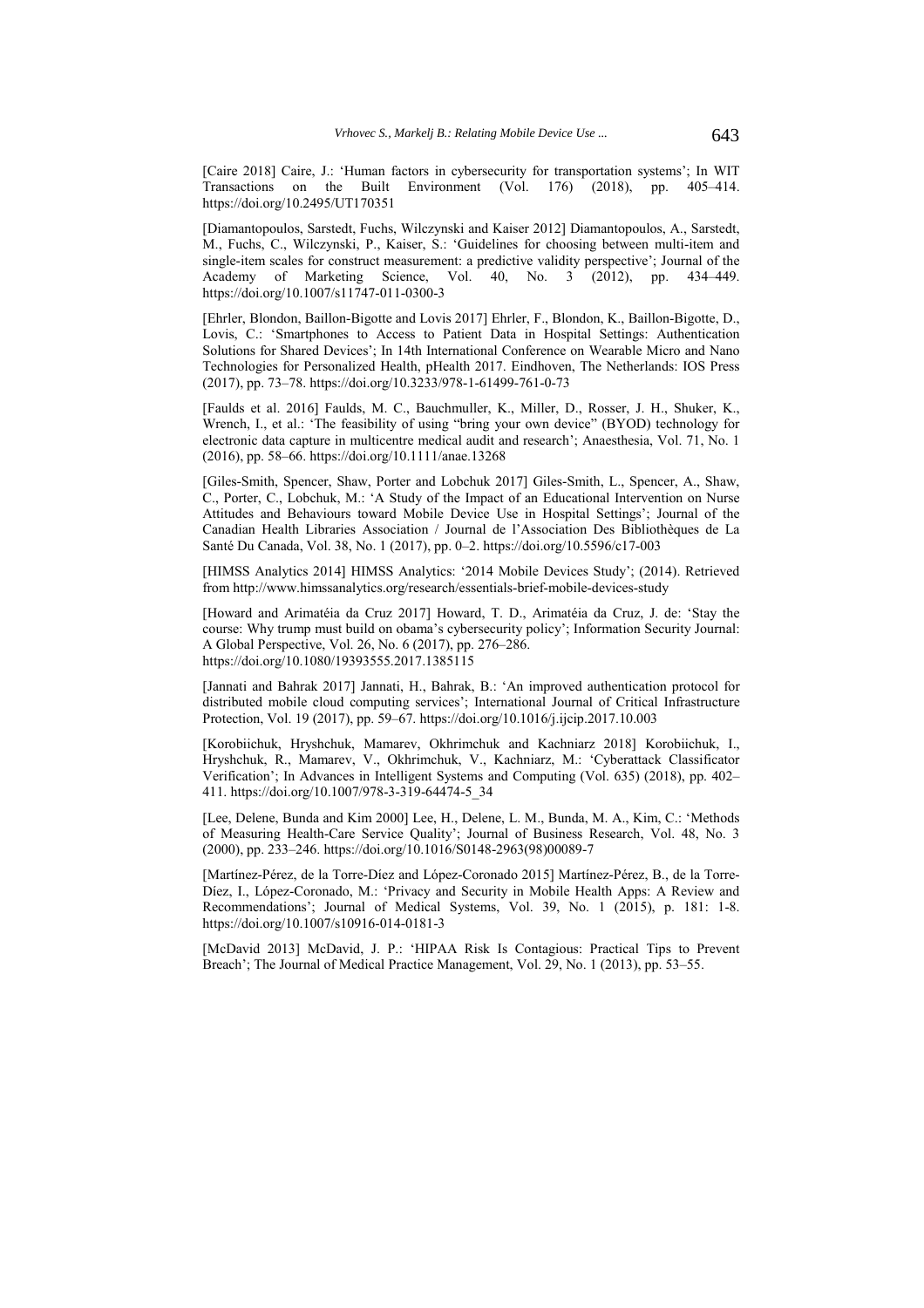[Caire 2018] Caire, J.: 'Human factors in cybersecurity for transportation systems'; In WIT Transactions on the Built Environment (Vol. 176) (2018), pp. 405–414. https://doi.org/10.2495/UT170351

[Diamantopoulos, Sarstedt, Fuchs, Wilczynski and Kaiser 2012] Diamantopoulos, A., Sarstedt, M., Fuchs, C., Wilczynski, P., Kaiser, S.: 'Guidelines for choosing between multi-item and single-item scales for construct measurement: a predictive validity perspective'; Journal of the Academy of Marketing Science, Vol. 40, No. 3 (2012), pp. 434-449. https://doi.org/10.1007/s11747-011-0300-3

[Ehrler, Blondon, Baillon-Bigotte and Lovis 2017] Ehrler, F., Blondon, K., Baillon-Bigotte, D., Lovis, C.: 'Smartphones to Access to Patient Data in Hospital Settings: Authentication Solutions for Shared Devices'; In 14th International Conference on Wearable Micro and Nano Technologies for Personalized Health, pHealth 2017. Eindhoven, The Netherlands: IOS Press (2017), pp. 73–78. https://doi.org/10.3233/978-1-61499-761-0-73

[Faulds et al. 2016] Faulds, M. C., Bauchmuller, K., Miller, D., Rosser, J. H., Shuker, K., Wrench, I., et al.: 'The feasibility of using "bring your own device" (BYOD) technology for electronic data capture in multicentre medical audit and research'; Anaesthesia, Vol. 71, No. 1 (2016), pp. 58–66. https://doi.org/10.1111/anae.13268

[Giles-Smith, Spencer, Shaw, Porter and Lobchuk 2017] Giles-Smith, L., Spencer, A., Shaw, C., Porter, C., Lobchuk, M.: 'A Study of the Impact of an Educational Intervention on Nurse Attitudes and Behaviours toward Mobile Device Use in Hospital Settings'; Journal of the Canadian Health Libraries Association / Journal de l'Association Des Bibliothèques de La Santé Du Canada, Vol. 38, No. 1 (2017), pp. 0–2. https://doi.org/10.5596/c17-003

[HIMSS Analytics 2014] HIMSS Analytics: '2014 Mobile Devices Study'; (2014). Retrieved from http://www.himssanalytics.org/research/essentials-brief-mobile-devices-study

[Howard and Arimatéia da Cruz 2017] Howard, T. D., Arimatéia da Cruz, J. de: 'Stay the course: Why trump must build on obama's cybersecurity policy'; Information Security Journal: A Global Perspective, Vol. 26, No. 6 (2017), pp. 276–286. https://doi.org/10.1080/19393555.2017.1385115

[Jannati and Bahrak 2017] Jannati, H., Bahrak, B.: 'An improved authentication protocol for distributed mobile cloud computing services'; International Journal of Critical Infrastructure Protection, Vol. 19 (2017), pp. 59–67. https://doi.org/10.1016/j.ijcip.2017.10.003

[Korobiichuk, Hryshchuk, Mamarev, Okhrimchuk and Kachniarz 2018] Korobiichuk, I., Hryshchuk, R., Mamarev, V., Okhrimchuk, V., Kachniarz, M.: 'Cyberattack Classificator Verification'; In Advances in Intelligent Systems and Computing (Vol. 635) (2018), pp. 402– 411. https://doi.org/10.1007/978-3-319-64474-5\_34

[Lee, Delene, Bunda and Kim 2000] Lee, H., Delene, L. M., Bunda, M. A., Kim, C.: 'Methods of Measuring Health-Care Service Quality'; Journal of Business Research, Vol. 48, No. 3 (2000), pp. 233–246. https://doi.org/10.1016/S0148-2963(98)00089-7

[Martínez-Pérez, de la Torre-Díez and López-Coronado 2015] Martínez-Pérez, B., de la Torre-Díez, I., López-Coronado, M.: 'Privacy and Security in Mobile Health Apps: A Review and Recommendations'; Journal of Medical Systems, Vol. 39, No. 1 (2015), p. 181: 1-8. https://doi.org/10.1007/s10916-014-0181-3

[McDavid 2013] McDavid, J. P.: 'HIPAA Risk Is Contagious: Practical Tips to Prevent Breach'; The Journal of Medical Practice Management, Vol. 29, No. 1 (2013), pp. 53–55.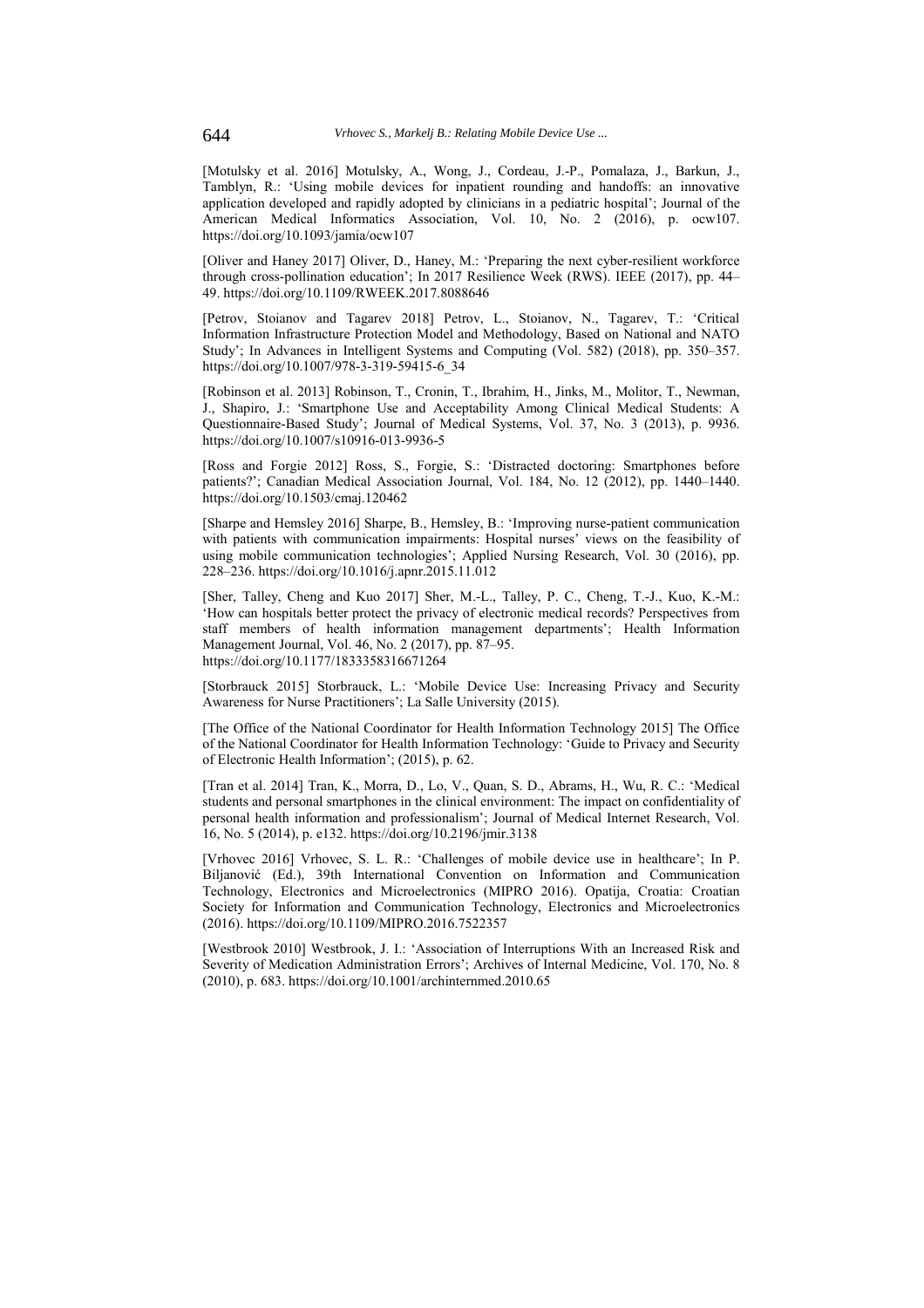[Motulsky et al. 2016] Motulsky, A., Wong, J., Cordeau, J.-P., Pomalaza, J., Barkun, J., Tamblyn, R.: 'Using mobile devices for inpatient rounding and handoffs: an innovative application developed and rapidly adopted by clinicians in a pediatric hospital'; Journal of the American Medical Informatics Association, Vol. 10, No. 2 (2016), p. ocw107. https://doi.org/10.1093/jamia/ocw107

[Oliver and Haney 2017] Oliver, D., Haney, M.: 'Preparing the next cyber-resilient workforce through cross-pollination education'; In 2017 Resilience Week (RWS). IEEE (2017), pp. 44– 49. https://doi.org/10.1109/RWEEK.2017.8088646

[Petrov, Stoianov and Tagarev 2018] Petrov, L., Stoianov, N., Tagarev, T.: 'Critical Information Infrastructure Protection Model and Methodology, Based on National and NATO Study'; In Advances in Intelligent Systems and Computing (Vol. 582) (2018), pp. 350–357. https://doi.org/10.1007/978-3-319-59415-6\_34

[Robinson et al. 2013] Robinson, T., Cronin, T., Ibrahim, H., Jinks, M., Molitor, T., Newman, J., Shapiro, J.: 'Smartphone Use and Acceptability Among Clinical Medical Students: A Questionnaire-Based Study'; Journal of Medical Systems, Vol. 37, No. 3 (2013), p. 9936. https://doi.org/10.1007/s10916-013-9936-5

[Ross and Forgie 2012] Ross, S., Forgie, S.: 'Distracted doctoring: Smartphones before patients?'; Canadian Medical Association Journal, Vol. 184, No. 12 (2012), pp. 1440–1440. https://doi.org/10.1503/cmaj.120462

[Sharpe and Hemsley 2016] Sharpe, B., Hemsley, B.: 'Improving nurse-patient communication with patients with communication impairments: Hospital nurses' views on the feasibility of using mobile communication technologies'; Applied Nursing Research, Vol. 30 (2016), pp. 228–236. https://doi.org/10.1016/j.apnr.2015.11.012

[Sher, Talley, Cheng and Kuo 2017] Sher, M.-L., Talley, P. C., Cheng, T.-J., Kuo, K.-M.: 'How can hospitals better protect the privacy of electronic medical records? Perspectives from staff members of health information management departments'; Health Information Management Journal, Vol. 46, No. 2 (2017), pp. 87–95. https://doi.org/10.1177/1833358316671264

[Storbrauck 2015] Storbrauck, L.: 'Mobile Device Use: Increasing Privacy and Security Awareness for Nurse Practitioners'; La Salle University (2015).

[The Office of the National Coordinator for Health Information Technology 2015] The Office of the National Coordinator for Health Information Technology: 'Guide to Privacy and Security of Electronic Health Information'; (2015), p. 62.

[Tran et al. 2014] Tran, K., Morra, D., Lo, V., Quan, S. D., Abrams, H., Wu, R. C.: 'Medical students and personal smartphones in the clinical environment: The impact on confidentiality of personal health information and professionalism'; Journal of Medical Internet Research, Vol. 16, No. 5 (2014), p. e132. https://doi.org/10.2196/jmir.3138

[Vrhovec 2016] Vrhovec, S. L. R.: 'Challenges of mobile device use in healthcare'; In P. Biljanović (Ed.), 39th International Convention on Information and Communication Technology, Electronics and Microelectronics (MIPRO 2016). Opatija, Croatia: Croatian Society for Information and Communication Technology, Electronics and Microelectronics (2016). https://doi.org/10.1109/MIPRO.2016.7522357

[Westbrook 2010] Westbrook, J. I.: 'Association of Interruptions With an Increased Risk and Severity of Medication Administration Errors'; Archives of Internal Medicine, Vol. 170, No. 8 (2010), p. 683. https://doi.org/10.1001/archinternmed.2010.65